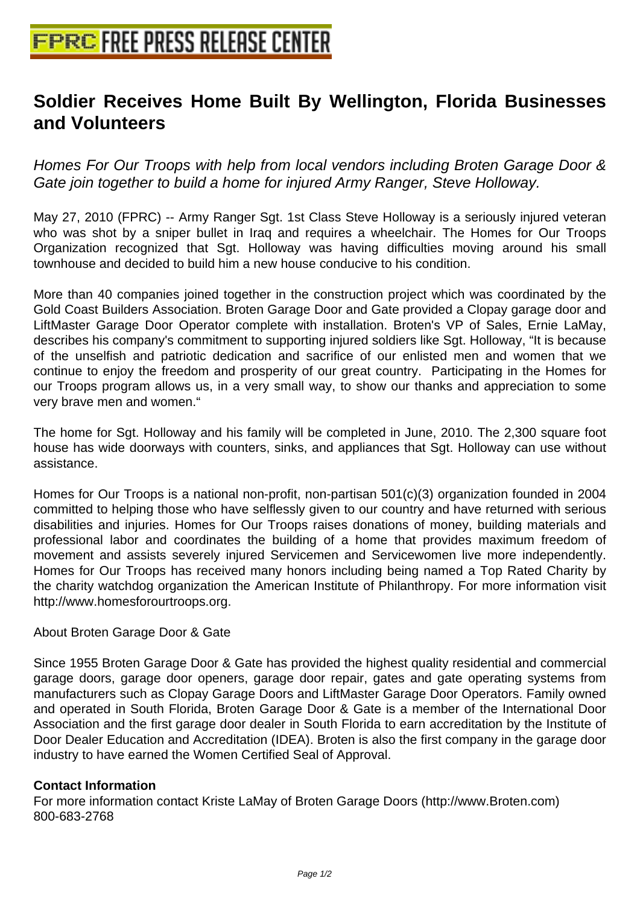## **[Soldier Receives Home Built By W](http://www.free-press-release-center.info)ellington, Florida Businesses and Volunteers**

Homes For Our Troops with help from local vendors including Broten Garage Door & Gate join together to build a home for injured Army Ranger, Steve Holloway.

May 27, 2010 (FPRC) -- Army Ranger Sgt. 1st Class Steve Holloway is a seriously injured veteran who was shot by a sniper bullet in Iraq and requires a wheelchair. The Homes for Our Troops Organization recognized that Sgt. Holloway was having difficulties moving around his small townhouse and decided to build him a new house conducive to his condition.

More than 40 companies joined together in the construction project which was coordinated by the Gold Coast Builders Association. Broten Garage Door and Gate provided a Clopay garage door and LiftMaster Garage Door Operator complete with installation. Broten's VP of Sales, Ernie LaMay, describes his company's commitment to supporting injured soldiers like Sgt. Holloway, "It is because of the unselfish and patriotic dedication and sacrifice of our enlisted men and women that we continue to enjoy the freedom and prosperity of our great country. Participating in the Homes for our Troops program allows us, in a very small way, to show our thanks and appreciation to some very brave men and women."

The home for Sgt. Holloway and his family will be completed in June, 2010. The 2,300 square foot house has wide doorways with counters, sinks, and appliances that Sgt. Holloway can use without assistance.

Homes for Our Troops is a national non-profit, non-partisan 501(c)(3) organization founded in 2004 committed to helping those who have selflessly given to our country and have returned with serious disabilities and injuries. Homes for Our Troops raises donations of money, building materials and professional labor and coordinates the building of a home that provides maximum freedom of movement and assists severely injured Servicemen and Servicewomen live more independently. Homes for Our Troops has received many honors including being named a Top Rated Charity by the charity watchdog organization the American Institute of Philanthropy. For more information visit http://www.homesforourtroops.org.

## About Broten Garage Door & Gate

Since 1955 Broten Garage Door & Gate has provided the highest quality residential and commercial garage doors, garage door openers, garage door repair, gates and gate operating systems from manufacturers such as Clopay Garage Doors and LiftMaster Garage Door Operators. Family owned and operated in South Florida, Broten Garage Door & Gate is a member of the International Door Association and the first garage door dealer in South Florida to earn accreditation by the Institute of Door Dealer Education and Accreditation (IDEA). Broten is also the first company in the garage door industry to have earned the Women Certified Seal of Approval.

## **Contact Information**

For more information contact Kriste LaMay of Broten Garage Doors (http://www.Broten.com) 800-683-2768